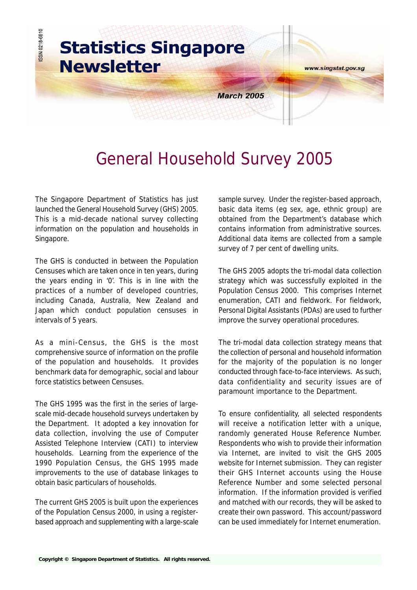

# General Household Survey 2005

The Singapore Department of Statistics has just launched the General Household Survey (GHS) 2005. This is a mid-decade national survey collecting information on the population and households in Singapore.

The GHS is conducted in between the Population Censuses which are taken once in ten years, during the years ending in '0'. This is in line with the practices of a number of developed countries, including Canada, Australia, New Zealand and Japan which conduct population censuses in intervals of 5 years.

As a mini-Census, the GHS is the most comprehensive source of information on the profile of the population and households. It provides benchmark data for demographic, social and labour force statistics between Censuses.

The GHS 1995 was the first in the series of largescale mid-decade household surveys undertaken by the Department. It adopted a key innovation for data collection, involving the use of Computer Assisted Telephone Interview (CATI) to interview households. Learning from the experience of the 1990 Population Census, the GHS 1995 made improvements to the use of database linkages to obtain basic particulars of households.

The current GHS 2005 is built upon the experiences of the Population Census 2000, in using a registerbased approach and supplementing with a large-scale sample survey. Under the register-based approach, basic data items (eg sex, age, ethnic group) are obtained from the Department's database which contains information from administrative sources. Additional data items are collected from a sample survey of 7 per cent of dwelling units.

The GHS 2005 adopts the tri-modal data collection strategy which was successfully exploited in the Population Census 2000. This comprises Internet enumeration, CATI and fieldwork. For fieldwork, Personal Digital Assistants (PDAs) are used to further improve the survey operational procedures.

The tri-modal data collection strategy means that the collection of personal and household information for the majority of the population is no longer conducted through face-to-face interviews. As such, data confidentiality and security issues are of paramount importance to the Department.

To ensure confidentiality, all selected respondents will receive a notification letter with a unique, randomly generated House Reference Number. Respondents who wish to provide their information via Internet, are invited to visit the GHS 2005 website for Internet submission. They can register their GHS Internet accounts using the House Reference Number and some selected personal information. If the information provided is verified and matched with our records, they will be asked to create their own password. This account/password can be used immediately for Internet enumeration.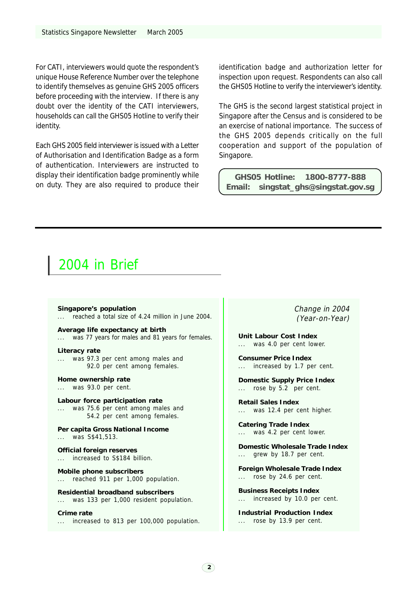For CATI, interviewers would quote the respondent's unique House Reference Number over the telephone to identify themselves as genuine GHS 2005 officers before proceeding with the interview. If there is any doubt over the identity of the CATI interviewers, households can call the GHS05 Hotline to verify their identity.

Each GHS 2005 field interviewer is issued with a Letter of Authorisation and Identification Badge as a form of authentication. Interviewers are instructed to display their identification badge prominently while on duty. They are also required to produce their identification badge and authorization letter for inspection upon request. Respondents can also call the GHS05 Hotline to verify the interviewer's identity.

The GHS is the second largest statistical project in Singapore after the Census and is considered to be an exercise of national importance. The success of the GHS 2005 depends critically on the full cooperation and support of the population of Singapore.

**GHS05 Hotline: 1800-8777-888 Email: singstat\_ghs@singstat.gov.sg**

### 2004 in Brief

**Singapore's population** reached a total size of 4.24 million in June 2004.

**Average life expectancy at birth** ... was 77 years for males and 81 years for females.

#### **Literacy rate**

was 97.3 per cent among males and 92.0 per cent among females.

**Home ownership rate**

... was 93.0 per cent.

**Labour force participation rate** ... was 75.6 per cent among males and 54.2 per cent among females.

**Per capita Gross National Income** ... was S\$41,513.

**Official foreign reserves** ... increased to S\$184 billion.

**Mobile phone subscribers** ... reached 911 per 1,000 population.

**Residential broadband subscribers** ... was 133 per 1,000 resident population.

**Crime rate** ... increased to 813 per 100,000 population. Change in 2004 (Year-on-Year)

**Unit Labour Cost Index** ... was 4.0 per cent lower.

**Consumer Price Index** ... increased by 1.7 per cent.

**Domestic Supply Price Index** ... rose by 5.2 per cent.

**Retail Sales Index** ... was 12.4 per cent higher.

**Catering Trade Index** ... was 4.2 per cent lower.

**Domestic Wholesale Trade Index** grew by 18.7 per cent.

**Foreign Wholesale Trade Index** ... rose by 24.6 per cent.

**Business Receipts Index** ... increased by 10.0 per cent.

**Industrial Production Index** ... rose by 13.9 per cent.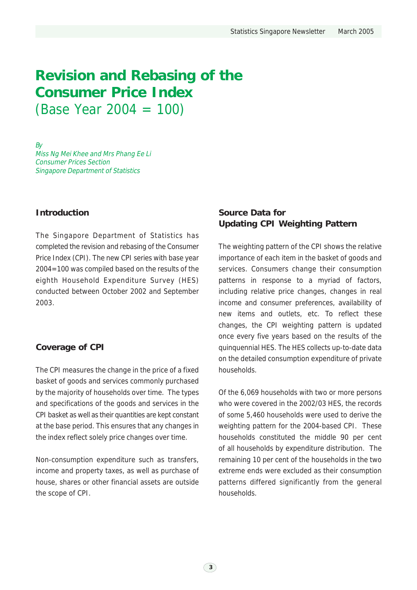# **Revision and Rebasing of the Consumer Price Index** (Base Year 2004 = 100)

By Miss Ng Mei Khee and Mrs Phang Ee Li Consumer Prices Section Singapore Department of Statistics

### **Introduction**

The Singapore Department of Statistics has completed the revision and rebasing of the Consumer Price Index (CPI). The new CPI series with base year 2004=100 was compiled based on the results of the eighth Household Expenditure Survey (HES) conducted between October 2002 and September 2003.

### **Coverage of CPI**

The CPI measures the change in the price of a fixed basket of goods and services commonly purchased by the majority of households over time. The types and specifications of the goods and services in the CPI basket as well as their quantities are kept constant at the base period. This ensures that any changes in the index reflect solely price changes over time.

Non-consumption expenditure such as transfers, income and property taxes, as well as purchase of house, shares or other financial assets are outside the scope of CPI.

### **Source Data for Updating CPI Weighting Pattern**

The weighting pattern of the CPI shows the relative importance of each item in the basket of goods and services. Consumers change their consumption patterns in response to a myriad of factors, including relative price changes, changes in real income and consumer preferences, availability of new items and outlets, etc. To reflect these changes, the CPI weighting pattern is updated once every five years based on the results of the quinquennial HES. The HES collects up-to-date data on the detailed consumption expenditure of private households.

Of the 6,069 households with two or more persons who were covered in the 2002/03 HES, the records of some 5,460 households were used to derive the weighting pattern for the 2004-based CPI. These households constituted the middle 90 per cent of all households by expenditure distribution. The remaining 10 per cent of the households in the two extreme ends were excluded as their consumption patterns differed significantly from the general households.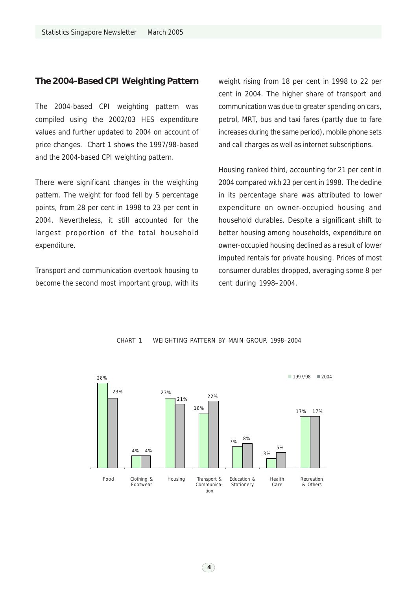### **The 2004-Based CPI Weighting Pattern**

The 2004-based CPI weighting pattern was compiled using the 2002/03 HES expenditure values and further updated to 2004 on account of price changes. Chart 1 shows the 1997/98-based and the 2004-based CPI weighting pattern.

There were significant changes in the weighting pattern. The weight for food fell by 5 percentage points, from 28 per cent in 1998 to 23 per cent in 2004. Nevertheless, it still accounted for the largest proportion of the total household expenditure.

Transport and communication overtook housing to become the second most important group, with its weight rising from 18 per cent in 1998 to 22 per cent in 2004. The higher share of transport and communication was due to greater spending on cars, petrol, MRT, bus and taxi fares (partly due to fare increases during the same period), mobile phone sets and call charges as well as internet subscriptions.

Housing ranked third, accounting for 21 per cent in 2004 compared with 23 per cent in 1998. The decline in its percentage share was attributed to lower expenditure on owner-occupied housing and household durables. Despite a significant shift to better housing among households, expenditure on owner-occupied housing declined as a result of lower imputed rentals for private housing. Prices of most consumer durables dropped, averaging some 8 per cent during 1998–2004.



### CHART 1 WEIGHTING PATTERN BY MAIN GROUP, 1998–2004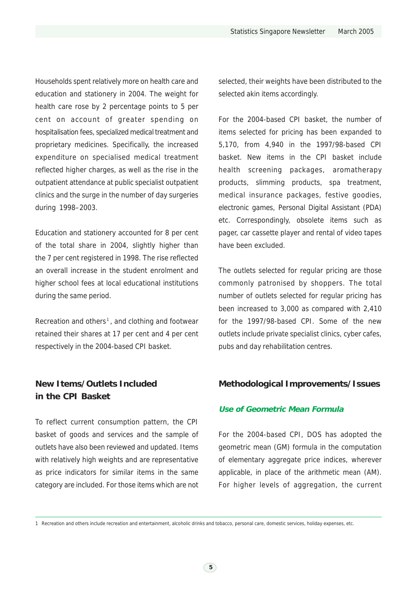Households spent relatively more on health care and education and stationery in 2004. The weight for health care rose by 2 percentage points to 5 per cent on account of greater spending on hospitalisation fees, specialized medical treatment and proprietary medicines. Specifically, the increased expenditure on specialised medical treatment reflected higher charges, as well as the rise in the outpatient attendance at public specialist outpatient clinics and the surge in the number of day surgeries during 1998–2003.

Education and stationery accounted for 8 per cent of the total share in 2004, slightly higher than the 7 per cent registered in 1998. The rise reflected an overall increase in the student enrolment and higher school fees at local educational institutions during the same period.

Recreation and others<sup>1</sup>, and clothing and footwear retained their shares at 17 per cent and 4 per cent respectively in the 2004-based CPI basket.

### **New Items/Outlets Included in the CPI Basket**

To reflect current consumption pattern, the CPI basket of goods and services and the sample of outlets have also been reviewed and updated. Items with relatively high weights and are representative as price indicators for similar items in the same category are included. For those items which are not selected, their weights have been distributed to the selected akin items accordingly.

For the 2004-based CPI basket, the number of items selected for pricing has been expanded to 5,170, from 4,940 in the 1997/98-based CPI basket. New items in the CPI basket include health screening packages, aromatherapy products, slimming products, spa treatment, medical insurance packages, festive goodies, electronic games, Personal Digital Assistant (PDA) etc. Correspondingly, obsolete items such as pager, car cassette player and rental of video tapes have been excluded.

The outlets selected for regular pricing are those commonly patronised by shoppers. The total number of outlets selected for regular pricing has been increased to 3,000 as compared with 2,410 for the 1997/98-based CPI. Some of the new outlets include private specialist clinics, cyber cafes, pubs and day rehabilitation centres.

### **Methodological Improvements/Issues**

### **Use of Geometric Mean Formula**

For the 2004-based CPI, DOS has adopted the geometric mean (GM) formula in the computation of elementary aggregate price indices, wherever applicable, in place of the arithmetic mean (AM). For higher levels of aggregation, the current

<sup>1</sup> Recreation and others include recreation and entertainment, alcoholic drinks and tobacco, personal care, domestic services, holiday expenses, etc.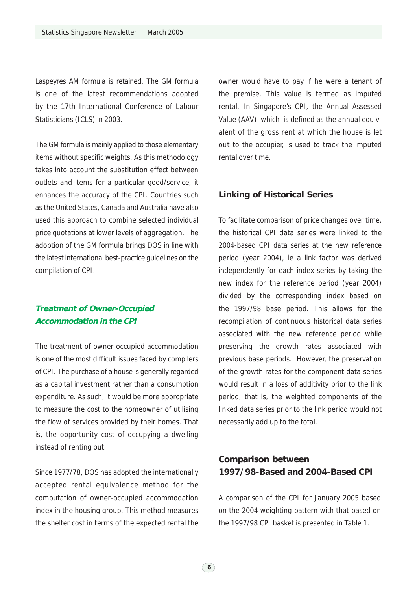Laspeyres AM formula is retained. The GM formula is one of the latest recommendations adopted by the 17th International Conference of Labour Statisticians (ICLS) in 2003.

The GM formula is mainly applied to those elementary items without specific weights. As this methodology takes into account the substitution effect between outlets and items for a particular good/service, it enhances the accuracy of the CPI. Countries such as the United States, Canada and Australia have also used this approach to combine selected individual price quotations at lower levels of aggregation. The adoption of the GM formula brings DOS in line with the latest international best-practice guidelines on the compilation of CPI.

### **Treatment of Owner-Occupied Accommodation in the CPI**

The treatment of owner-occupied accommodation is one of the most difficult issues faced by compilers of CPI. The purchase of a house is generally regarded as a capital investment rather than a consumption expenditure. As such, it would be more appropriate to measure the cost to the homeowner of utilising the flow of services provided by their homes. That is, the opportunity cost of occupying a dwelling instead of renting out.

Since 1977/78, DOS has adopted the internationally accepted rental equivalence method for the computation of owner-occupied accommodation index in the housing group. This method measures the shelter cost in terms of the expected rental the

owner would have to pay if he were a tenant of the premise. This value is termed as imputed rental. In Singapore's CPI, the Annual Assessed Value (AAV) which is defined as the annual equivalent of the gross rent at which the house is let out to the occupier, is used to track the imputed rental over time.

### **Linking of Historical Series**

To facilitate comparison of price changes over time, the historical CPI data series were linked to the 2004-based CPI data series at the new reference period (year 2004), ie a link factor was derived independently for each index series by taking the new index for the reference period (year 2004) divided by the corresponding index based on the 1997/98 base period. This allows for the recompilation of continuous historical data series associated with the new reference period while preserving the growth rates associated with previous base periods. However, the preservation of the growth rates for the component data series would result in a loss of additivity prior to the link period, that is, the weighted components of the linked data series prior to the link period would not necessarily add up to the total.

### **Comparison between 1997/98-Based and 2004-Based CPI**

A comparison of the CPI for January 2005 based on the 2004 weighting pattern with that based on the 1997/98 CPI basket is presented in Table 1.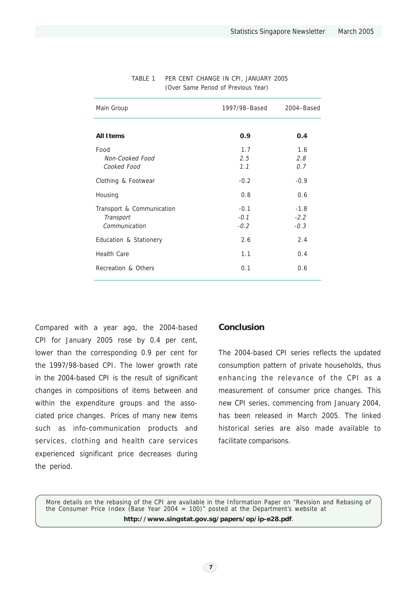| Main Group                                              | 1997/98-Based              | 2004-Based                 |
|---------------------------------------------------------|----------------------------|----------------------------|
| <b>All Items</b>                                        | 0.9                        | 0.4                        |
| Food<br>Non-Cooked Food<br>Cooked Food                  | 1.7<br>2.5<br>1.1          | 1.6<br>2.8<br>0.7          |
| Clothing & Footwear                                     | $-0.2$                     | $-0.9$                     |
| Housing                                                 | 0.8                        | 0.6                        |
| Transport & Communication<br>Transport<br>Communication | $-0.1$<br>$-0.1$<br>$-0.2$ | $-1.8$<br>$-2.2$<br>$-0.3$ |
| Education & Stationery                                  | 2.6                        | 2.4                        |
| Health Care                                             | 1.1                        | 0.4                        |
| Recreation & Others                                     | 0.1                        | 0.6                        |

### TABLE 1 PER CENT CHANGE IN CPI, JANUARY 2005 (Over Same Period of Previous Year)

Compared with a year ago, the 2004-based CPI for January 2005 rose by 0.4 per cent, lower than the corresponding 0.9 per cent for the 1997/98-based CPI. The lower growth rate in the 2004-based CPI is the result of significant changes in compositions of items between and within the expenditure groups and the associated price changes. Prices of many new items such as info-communication products and services, clothing and health care services experienced significant price decreases during the period.

### **Conclusion**

The 2004-based CPI series reflects the updated consumption pattern of private households, thus enhancing the relevance of the CPI as a measurement of consumer price changes. This new CPI series, commencing from January 2004, has been released in March 2005. The linked historical series are also made available to facilitate comparisons.

More details on the rebasing of the CPI are available in the Information Paper on "Revision and Rebasing of the Consumer Price Index (Base Year 2004 = 100)" posted at the Department's website at **http://www.singstat.gov.sg/papers/op/ip-e28.pdf**.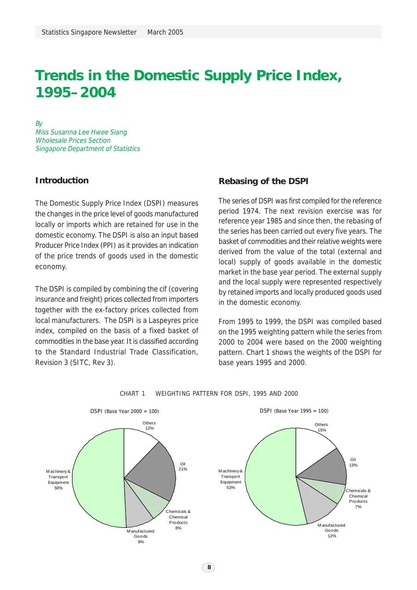### **Trends in the Domestic Supply Price Index, 1995–2004**

By

Miss Susanna Lee Hwee Siang Wholesale Prices Section Singapore Department of Statistics

### **Introduction**

The Domestic Supply Price Index (DSPI) measures the changes in the price level of goods manufactured locally or imports which are retained for use in the domestic economy. The DSPI is also an input based Producer Price Index (PPI) as it provides an indication of the price trends of goods used in the domestic economy.

The DSPI is compiled by combining the cif (covering insurance and freight) prices collected from importers together with the ex-factory prices collected from local manufacturers. The DSPI is a Laspeyres price index, compiled on the basis of a fixed basket of commodities in the base year. It is classified according to the Standard Industrial Trade Classification, Revision 3 (SITC, Rev 3).

### **Rebasing of the DSPI**

The series of DSPI was first compiled for the reference period 1974. The next revision exercise was for reference year 1985 and since then, the rebasing of the series has been carried out every five years. The basket of commodities and their relative weights were derived from the value of the total (external and local) supply of goods available in the domestic market in the base year period. The external supply and the local supply were represented respectively by retained imports and locally produced goods used in the domestic economy.

From 1995 to 1999, the DSPI was compiled based on the 1995 weighting pattern while the series from 2000 to 2004 were based on the 2000 weighting pattern. Chart 1 shows the weights of the DSPI for base years 1995 and 2000.



CHART 1 WEIGHTING PATTERN FOR DSPI, 1995 AND 2000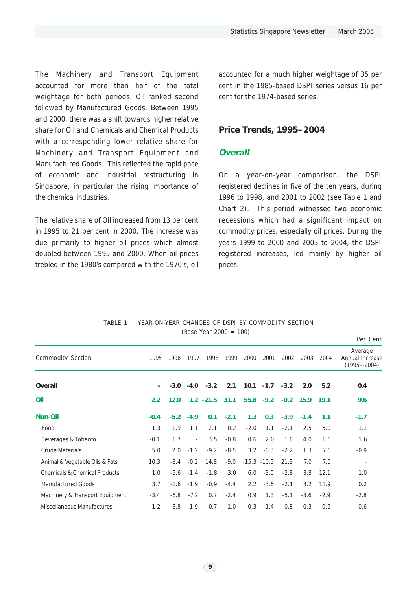The Machinery and Transport Equipment accounted for more than half of the total weightage for both periods. Oil ranked second followed by Manufactured Goods. Between 1995 and 2000, there was a shift towards higher relative share for Oil and Chemicals and Chemical Products with a corresponding lower relative share for Machinery and Transport Equipment and Manufactured Goods. This reflected the rapid pace of economic and industrial restructuring in Singapore, in particular the rising importance of the chemical industries.

The relative share of Oil increased from 13 per cent in 1995 to 21 per cent in 2000. The increase was due primarily to higher oil prices which almost doubled between 1995 and 2000. When oil prices trebled in the 1980's compared with the 1970's, oil accounted for a much higher weightage of 35 per cent in the 1985-based DSPI series versus 16 per cent for the 1974-based series.

### **Price Trends, 1995–2004**

### **Overall**

On a year-on-year comparison, the DSPI registered declines in five of the ten years, during 1996 to 1998, and 2001 to 2002 (see Table 1 and Chart 2). This period witnessed two economic recessions which had a significant impact on commodity prices, especially oil prices. During the years 1999 to 2000 and 2003 to 2004, the DSPI registered increases, led mainly by higher oil prices.

|                                          |        |        |                          |              |        |                |              |        |        |        | Per Cent                                      |
|------------------------------------------|--------|--------|--------------------------|--------------|--------|----------------|--------------|--------|--------|--------|-----------------------------------------------|
| Commodity Section                        | 1995   | 1996   | 1997                     | 1998         | 1999   | 2000           | 2001         | 2002   | 2003   | 2004   | Average<br>Annual Increase<br>$(1995 - 2004)$ |
| Overall                                  | ٠      | $-3.0$ |                          | $-4.0 -3.2$  | 2.1    |                | $10.1 - 1.7$ | $-3.2$ | 2.0    | 5.2    | 0.4                                           |
| Oil                                      | 2.2    | 12.0   |                          | $1.2 - 21.5$ | 31.1   |                | $55.8 - 9.2$ | $-0.2$ | 15.9   | 19.1   | 9.6                                           |
| <b>Non-Oil</b>                           | $-0.4$ | $-5.2$ | $-4.9$                   | 0.1          | $-2.1$ | 1.3            | 0.3          | $-3.9$ | $-1.4$ | 1.1    | $-1.7$                                        |
| Food                                     | 1.3    | 1.9    | 1.1                      | 2.1          | 0.2    | $-2.0$         | 1.1          | $-2.1$ | 2.5    | 5.0    | 1.1                                           |
| Beverages & Tobacco                      | $-0.1$ | 1.7    | $\overline{\phantom{a}}$ | 3.5          | $-0.8$ | 0.6            | 2.0          | 1.6    | 4.0    | 1.6    | 1.6                                           |
| <b>Crude Materials</b>                   | 5.0    | 2.0    | $-1.2$                   | $-9.2$       | $-8.5$ | 3.2            | $-0.3$       | $-2.2$ | 1.3    | 7.6    | $-0.9$                                        |
| Animal & Vegetable Oils & Fats           | 10.3   | $-8.4$ | $-0.2$                   | 14.8         | $-9.0$ | $-15.3 - 10.5$ |              | 21.3   | 7.0    | 7.0    | $\overline{\phantom{a}}$                      |
| <b>Chemicals &amp; Chemical Products</b> | 1.0    | $-5.6$ | $-1.4$                   | $-1.8$       | 3.0    | 6.0            | $-3.0$       | $-2.8$ | 3.8    | 12.1   | 1.0                                           |
| <b>Manufactured Goods</b>                | 3.7    | $-1.6$ | $-1.9$                   | $-0.9$       | $-4.4$ | $2.2^{\circ}$  | $-3.6$       | $-2.1$ | 3.2    | 11.9   | 0.2                                           |
| Machinery & Transport Equipment          | $-3.4$ | $-6.8$ | $-7.2$                   | 0.7          | $-2.4$ | 0.9            | 1.3          | $-5.1$ | $-3.6$ | $-2.9$ | $-2.8$                                        |
| Miscellaneous Manufactures               | 1.2    | $-3.8$ | $-1.9$                   | $-0.7$       | $-1.0$ | 0.3            | 1.4          | $-0.8$ | 0.3    | 0.6    | $-0.6$                                        |

TABLE 1 YEAR-ON-YEAR CHANGES OF DSPI BY COMMODITY SECTION (Base Year 2000 = 100)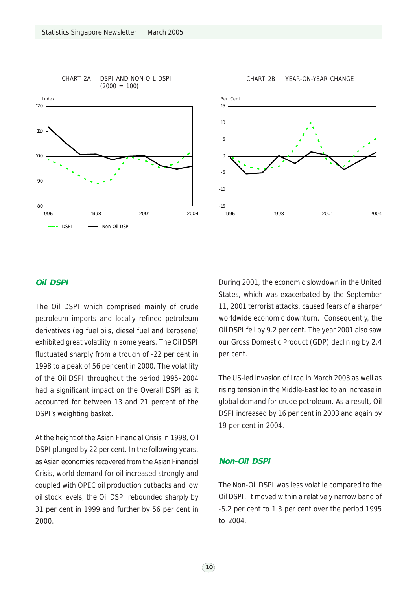



CHART 2B YEAR-ON-YEAR CHANGE



### **Oil DSPI**

The Oil DSPI which comprised mainly of crude petroleum imports and locally refined petroleum derivatives (eg fuel oils, diesel fuel and kerosene) exhibited great volatility in some years. The Oil DSPI fluctuated sharply from a trough of -22 per cent in 1998 to a peak of 56 per cent in 2000. The volatility of the Oil DSPI throughout the period 1995–2004 had a significant impact on the Overall DSPI as it accounted for between 13 and 21 percent of the DSPI's weighting basket.

At the height of the Asian Financial Crisis in 1998, Oil DSPI plunged by 22 per cent. In the following years, as Asian economies recovered from the Asian Financial Crisis, world demand for oil increased strongly and coupled with OPEC oil production cutbacks and low oil stock levels, the Oil DSPI rebounded sharply by 31 per cent in 1999 and further by 56 per cent in 2000.

During 2001, the economic slowdown in the United States, which was exacerbated by the September 11, 2001 terrorist attacks, caused fears of a sharper worldwide economic downturn. Consequently, the Oil DSPI fell by 9.2 per cent. The year 2001 also saw our Gross Domestic Product (GDP) declining by 2.4 per cent.

The US-led invasion of Iraq in March 2003 as well as rising tension in the Middle-East led to an increase in global demand for crude petroleum. As a result, Oil DSPI increased by 16 per cent in 2003 and again by 19 per cent in 2004.

### **Non-Oil DSPI**

The Non-Oil DSPI was less volatile compared to the Oil DSPI. It moved within a relatively narrow band of -5.2 per cent to 1.3 per cent over the period 1995 to 2004.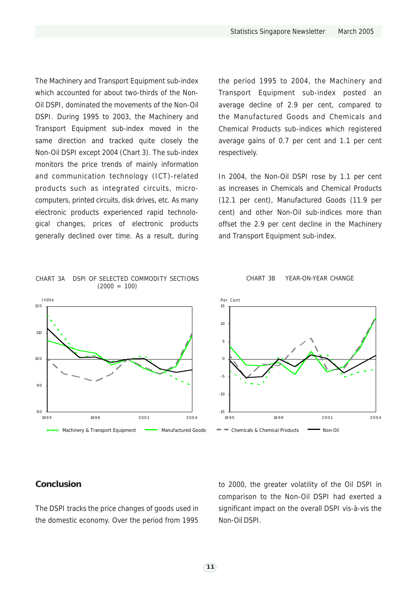The Machinery and Transport Equipment sub-index which accounted for about two-thirds of the Non-Oil DSPI, dominated the movements of the Non-Oil DSPI. During 1995 to 2003, the Machinery and Transport Equipment sub-index moved in the same direction and tracked quite closely the Non-Oil DSPI except 2004 (Chart 3). The sub-index monitors the price trends of mainly information and communication technology (ICT)-related products such as integrated circuits, microcomputers, printed circuits, disk drives, etc. As many electronic products experienced rapid technological changes, prices of electronic products generally declined over time. As a result, during

CHART 3A DSPI OF SELECTED COMMODITY SECTIONS  $(2000 = 100)$ 



### Transport Equipment sub-index posted an average decline of 2.9 per cent, compared to the Manufactured Goods and Chemicals and Chemical Products sub-indices which registered average gains of 0.7 per cent and 1.1 per cent respectively.

the period 1995 to 2004, the Machinery and

In 2004, the Non-Oil DSPI rose by 1.1 per cent as increases in Chemicals and Chemical Products (12.1 per cent), Manufactured Goods (11.9 per cent) and other Non-Oil sub-indices more than offset the 2.9 per cent decline in the Machinery and Transport Equipment sub-index.

### CHART 3B YEAR-ON-YEAR CHANGE

### **Conclusion**

The DSPI tracks the price changes of goods used in the domestic economy. Over the period from 1995

to 2000, the greater volatility of the Oil DSPI in comparison to the Non-Oil DSPI had exerted a significant impact on the overall DSPI vis-à-vis the Non-Oil DSPI.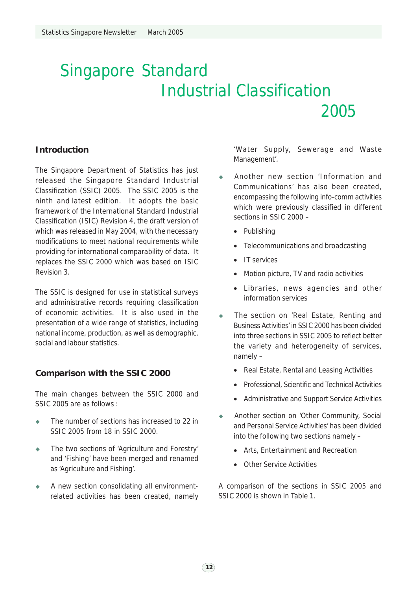# Singapore Standard Industrial Classification 2005

### **Introduction**

The Singapore Department of Statistics has just released the Singapore Standard Industrial Classification (SSIC) 2005. The SSIC 2005 is the ninth and latest edition. It adopts the basic framework of the International Standard Industrial Classification (ISIC) Revision 4, the draft version of which was released in May 2004, with the necessary modifications to meet national requirements while providing for international comparability of data. It replaces the SSIC 2000 which was based on ISIC Revision 3.

The SSIC is designed for use in statistical surveys and administrative records requiring classification of economic activities. It is also used in the presentation of a wide range of statistics, including national income, production, as well as demographic, social and labour statistics.

### **Comparison with the SSIC 2000**

The main changes between the SSIC 2000 and SSIC 2005 are as follows :

- The number of sections has increased to 22 in SSIC 2005 from 18 in SSIC 2000.
- $\bullet$  The two sections of 'Agriculture and Forestry' and 'Fishing' have been merged and renamed as 'Agriculture and Fishing'.
- A new section consolidating all environmentrelated activities has been created, namely

'Water Supply, Sewerage and Waste Management'.

- Another new section 'Information and Communications' has also been created, encompassing the following info-comm activities which were previously classified in different sections in SSIC 2000 –
	- Publishing
	- Telecommunications and broadcasting
	- IT services
	- Motion picture, TV and radio activities
	- Libraries, news agencies and other information services
- ◆ The section on 'Real Estate, Renting and Business Activities' in SSIC 2000 has been divided into three sections in SSIC 2005 to reflect better the variety and heterogeneity of services, namely –
	- Real Estate, Rental and Leasing Activities
	- Professional, Scientific and Technical Activities
	- Administrative and Support Service Activities
- Another section on 'Other Community, Social and Personal Service Activities' has been divided into the following two sections namely –
	- Arts, Entertainment and Recreation
	- Other Service Activities

A comparison of the sections in SSIC 2005 and SSIC 2000 is shown in Table 1.

 $(12)$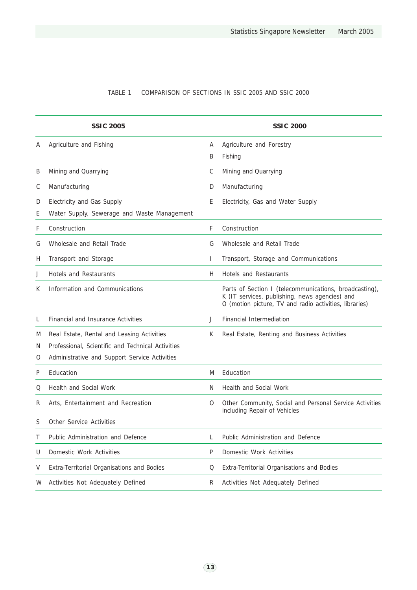### TABLE 1 COMPARISON OF SECTIONS IN SSIC 2005 AND SSIC 2000

|             | <b>SSIC 2005</b>                                                                                                                                 |              | <b>SSIC 2000</b>                                                                                                                                                   |
|-------------|--------------------------------------------------------------------------------------------------------------------------------------------------|--------------|--------------------------------------------------------------------------------------------------------------------------------------------------------------------|
| Α           | Agriculture and Fishing                                                                                                                          | A<br>B       | Agriculture and Forestry<br>Fishing                                                                                                                                |
| Β           | Mining and Quarrying                                                                                                                             | C            | Mining and Quarrying                                                                                                                                               |
| С           | Manufacturing                                                                                                                                    | D            | Manufacturing                                                                                                                                                      |
| D<br>Ε      | Electricity and Gas Supply<br>Water Supply, Sewerage and Waste Management                                                                        | Ε            | Electricity, Gas and Water Supply                                                                                                                                  |
| F           | Construction                                                                                                                                     | F            | Construction                                                                                                                                                       |
| G           | Wholesale and Retail Trade                                                                                                                       | G            | Wholesale and Retail Trade                                                                                                                                         |
| Н           | Transport and Storage                                                                                                                            | $\mathbf{I}$ | Transport, Storage and Communications                                                                                                                              |
| J           | Hotels and Restaurants                                                                                                                           | H.           | <b>Hotels and Restaurants</b>                                                                                                                                      |
| K           | Information and Communications                                                                                                                   |              | Parts of Section I (telecommunications, broadcasting),<br>K (IT services, publishing, news agencies) and<br>O (motion picture, TV and radio activities, libraries) |
| L           | <b>Financial and Insurance Activities</b>                                                                                                        | J            | <b>Financial Intermediation</b>                                                                                                                                    |
| M<br>N<br>O | Real Estate, Rental and Leasing Activities<br>Professional, Scientific and Technical Activities<br>Administrative and Support Service Activities | К            | Real Estate, Renting and Business Activities                                                                                                                       |
| P           | Education                                                                                                                                        | M            | Education                                                                                                                                                          |
| Q           | <b>Health and Social Work</b>                                                                                                                    | N.           | Health and Social Work                                                                                                                                             |
| R           | Arts, Entertainment and Recreation                                                                                                               | 0            | Other Community, Social and Personal Service Activities<br>including Repair of Vehicles                                                                            |
| S           | <b>Other Service Activities</b>                                                                                                                  |              |                                                                                                                                                                    |
| Τ           | Public Administration and Defence                                                                                                                | $\mathsf L$  | Public Administration and Defence                                                                                                                                  |
| U           | Domestic Work Activities                                                                                                                         | P            | Domestic Work Activities                                                                                                                                           |
| V           | Extra-Territorial Organisations and Bodies                                                                                                       | Q            | Extra-Territorial Organisations and Bodies                                                                                                                         |
| W           | Activities Not Adequately Defined                                                                                                                | R            | Activities Not Adequately Defined                                                                                                                                  |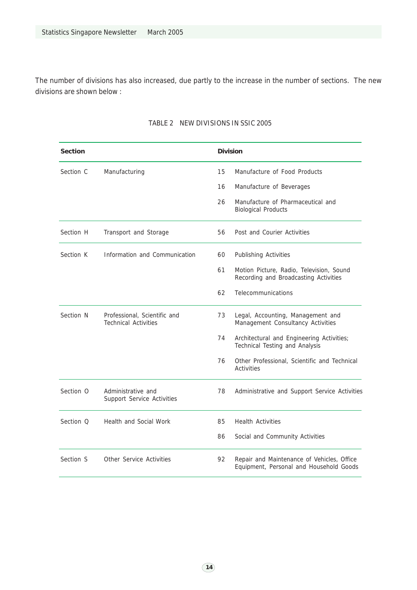The number of divisions has also increased, due partly to the increase in the number of sections. The new divisions are shown below :

| <b>Section</b>       |                                                             |    | <b>Division</b>                                                                       |  |  |  |
|----------------------|-------------------------------------------------------------|----|---------------------------------------------------------------------------------------|--|--|--|
| Section C            | Manufacturing                                               | 15 | Manufacture of Food Products                                                          |  |  |  |
|                      |                                                             | 16 | Manufacture of Beverages                                                              |  |  |  |
|                      |                                                             | 26 | Manufacture of Pharmaceutical and<br><b>Biological Products</b>                       |  |  |  |
| Section H            | Transport and Storage                                       | 56 | Post and Courier Activities                                                           |  |  |  |
| Section K            | Information and Communication                               | 60 | Publishing Activities                                                                 |  |  |  |
|                      |                                                             | 61 | Motion Picture, Radio, Television, Sound<br>Recording and Broadcasting Activities     |  |  |  |
|                      |                                                             | 62 | Telecommunications                                                                    |  |  |  |
| Section <sub>N</sub> | Professional, Scientific and<br><b>Technical Activities</b> | 73 | Legal, Accounting, Management and<br>Management Consultancy Activities                |  |  |  |
|                      |                                                             | 74 | Architectural and Engineering Activities;<br>Technical Testing and Analysis           |  |  |  |
|                      |                                                             | 76 | Other Professional, Scientific and Technical<br><b>Activities</b>                     |  |  |  |
| Section O            | Administrative and<br>Support Service Activities            | 78 | Administrative and Support Service Activities                                         |  |  |  |
| Section O            | Health and Social Work                                      | 85 | <b>Health Activities</b>                                                              |  |  |  |
|                      |                                                             | 86 | Social and Community Activities                                                       |  |  |  |
| Section <sub>S</sub> | Other Service Activities                                    | 92 | Repair and Maintenance of Vehicles, Office<br>Equipment, Personal and Household Goods |  |  |  |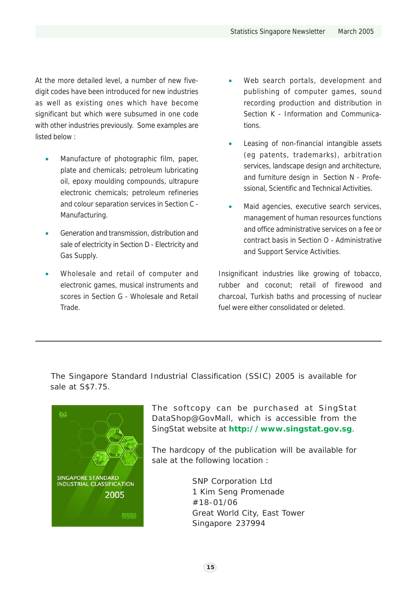At the more detailed level, a number of new fivedigit codes have been introduced for new industries as well as existing ones which have become significant but which were subsumed in one code with other industries previously. Some examples are listed below :

- Manufacture of photographic film, paper, plate and chemicals; petroleum lubricating oil, epoxy moulding compounds, ultrapure electronic chemicals; petroleum refineries and colour separation services in Section C - Manufacturing.
- Generation and transmission, distribution and sale of electricity in Section D - Electricity and Gas Supply.
- Wholesale and retail of computer and electronic games, musical instruments and scores in Section G - Wholesale and Retail Trade.
- Web search portals, development and publishing of computer games, sound recording production and distribution in Section K - Information and Communications.
- Leasing of non-financial intangible assets (eg patents, trademarks), arbitration services, landscape design and architecture, and furniture design in Section N - Professional, Scientific and Technical Activities.
- Maid agencies, executive search services, management of human resources functions and office administrative services on a fee or contract basis in Section O - Administrative and Support Service Activities.

Insignificant industries like growing of tobacco, rubber and coconut; retail of firewood and charcoal, Turkish baths and processing of nuclear fuel were either consolidated or deleted.

The Singapore Standard Industrial Classification (SSIC) 2005 is available for sale at S\$7.75.



The softcopy can be purchased at SingStat DataShop@GovMall, which is accessible from the SingStat website at **http://www.singstat.gov.sg**.

The hardcopy of the publication will be available for sale at the following location :

> SNP Corporation Ltd 1 Kim Seng Promenade #18-01/06 Great World City, East Tower Singapore 237994

> > $(15)$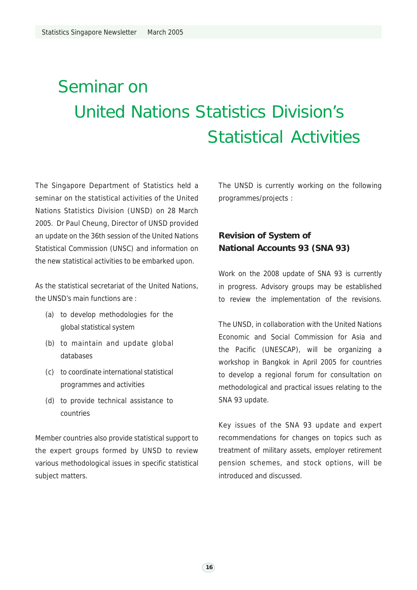# Seminar on United Nations Statistics Division's Statistical Activities

The Singapore Department of Statistics held a seminar on the statistical activities of the United Nations Statistics Division (UNSD) on 28 March 2005. Dr Paul Cheung, Director of UNSD provided an update on the 36th session of the United Nations Statistical Commission (UNSC) and information on the new statistical activities to be embarked upon.

As the statistical secretariat of the United Nations, the UNSD's main functions are :

- (a) to develop methodologies for the global statistical system
- (b) to maintain and update global databases
- (c) to coordinate international statistical programmes and activities
- (d) to provide technical assistance to countries

Member countries also provide statistical support to the expert groups formed by UNSD to review various methodological issues in specific statistical subject matters.

The UNSD is currently working on the following programmes/projects :

### **Revision of System of National Accounts 93 (SNA 93)**

Work on the 2008 update of SNA 93 is currently in progress. Advisory groups may be established to review the implementation of the revisions.

The UNSD, in collaboration with the United Nations Economic and Social Commission for Asia and the Pacific (UNESCAP), will be organizing a workshop in Bangkok in April 2005 for countries to develop a regional forum for consultation on methodological and practical issues relating to the SNA 93 update.

Key issues of the SNA 93 update and expert recommendations for changes on topics such as treatment of military assets, employer retirement pension schemes, and stock options, will be introduced and discussed.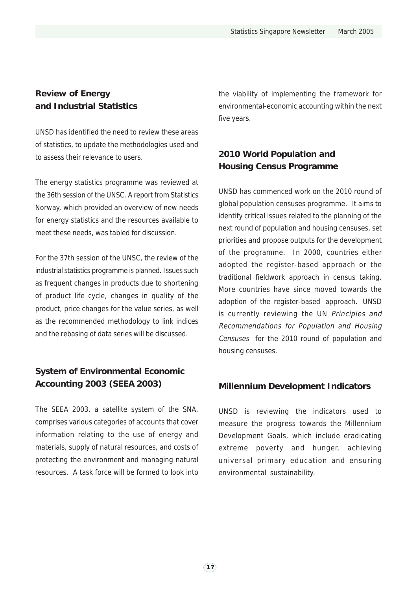### **Review of Energy and Industrial Statistics**

UNSD has identified the need to review these areas of statistics, to update the methodologies used and to assess their relevance to users.

The energy statistics programme was reviewed at the 36th session of the UNSC. A report from Statistics Norway, which provided an overview of new needs for energy statistics and the resources available to meet these needs, was tabled for discussion.

For the 37th session of the UNSC, the review of the industrial statistics programme is planned. Issues such as frequent changes in products due to shortening of product life cycle, changes in quality of the product, price changes for the value series, as well as the recommended methodology to link indices and the rebasing of data series will be discussed.

### **System of Environmental Economic Accounting 2003 (SEEA 2003)**

The SEEA 2003, a satellite system of the SNA, comprises various categories of accounts that cover information relating to the use of energy and materials, supply of natural resources, and costs of protecting the environment and managing natural resources. A task force will be formed to look into the viability of implementing the framework for environmental-economic accounting within the next five years.

### **2010 World Population and Housing Census Programme**

UNSD has commenced work on the 2010 round of global population censuses programme. It aims to identify critical issues related to the planning of the next round of population and housing censuses, set priorities and propose outputs for the development of the programme. In 2000, countries either adopted the register-based approach or the traditional fieldwork approach in census taking. More countries have since moved towards the adoption of the register-based approach. UNSD is currently reviewing the UN Principles and Recommendations for Population and Housing Censuses for the 2010 round of population and housing censuses.

### **Millennium Development Indicators**

UNSD is reviewing the indicators used to measure the progress towards the Millennium Development Goals, which include eradicating extreme poverty and hunger, achieving universal primary education and ensuring environmental sustainability.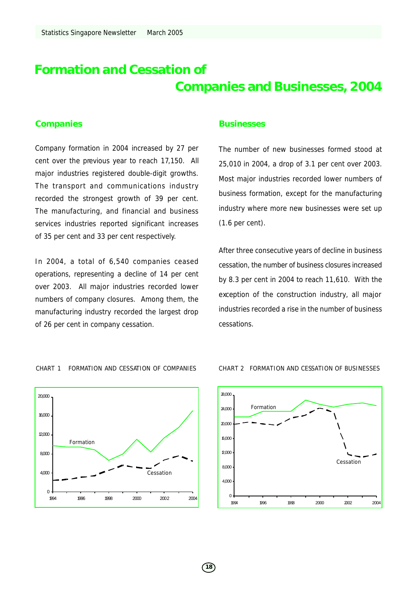# **Formation and Cessation of Companies and Businesses, 2004**

### **Companies**

Company formation in 2004 increased by 27 per cent over the previous year to reach 17,150. All major industries registered double-digit growths. The transport and communications industry recorded the strongest growth of 39 per cent. The manufacturing, and financial and business services industries reported significant increases of 35 per cent and 33 per cent respectively.

In 2004, a total of 6,540 companies ceased operations, representing a decline of 14 per cent over 2003. All major industries recorded lower numbers of company closures. Among them, the manufacturing industry recorded the largest drop of 26 per cent in company cessation.

### **Businesses**

The number of new businesses formed stood at 25,010 in 2004, a drop of 3.1 per cent over 2003. Most major industries recorded lower numbers of business formation, except for the manufacturing industry where more new businesses were set up (1.6 per cent).

After three consecutive years of decline in business cessation, the number of business closures increased by 8.3 per cent in 2004 to reach 11,610. With the exception of the construction industry, all major industries recorded a rise in the number of business cessations.



CHART 1 FORMATION AND CESSATION OF COMPANIES CHART 2 FORMATION AND CESSATION OF BUSINESSES

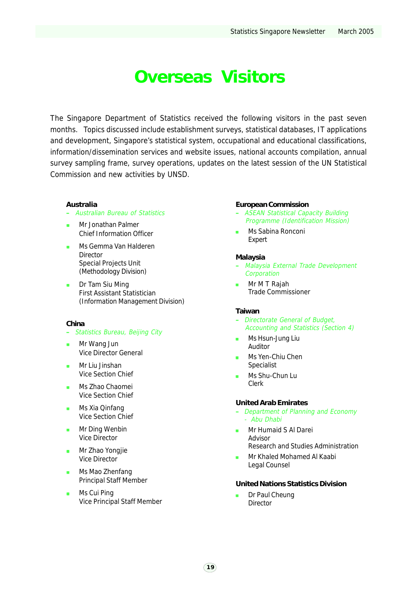# **Overseas Visitors**

The Singapore Department of Statistics received the following visitors in the past seven months. Topics discussed include establishment surveys, statistical databases, IT applications and development, Singapore's statistical system, occupational and educational classifications, information/dissemination services and website issues, national accounts compilation, annual survey sampling frame, survey operations, updates on the latest session of the UN Statistical Commission and new activities by UNSD.

### **Australia**

- Australian Bureau of Statistics
- Mr Jonathan Palmer Chief Information Officer
- Ms Gemma Van Halderen Director Special Projects Unit (Methodology Division)
- **Dr Tam Siu Ming** First Assistant Statistician (Information Management Division)

### **China**

- Statistics Bureau, Beijing City
- Mr Wang Jun Vice Director General
- Mr Liu Jinshan Vice Section Chief
- **Ms Zhao Chaomei** Vice Section Chief
- **Ms Xia Qinfang** Vice Section Chief
- **Mr Ding Wenbin** Vice Director
- **Mr Zhao Yongjie** Vice Director
- Ms Mao Zhenfang Principal Staff Member
- Ms Cui Ping Vice Principal Staff Member

### **European Commission**

- ASEAN Statistical Capacity Building Programme (Identification Mission)
	- Ms Sabina Ronconi Expert

#### **Malaysia**

- Malaysia External Trade Development **Corporation**
- **Mr M T Rajah** Trade Commissioner

### **Taiwan**

- Directorate General of Budget, Accounting and Statistics (Section 4)
- **Ms Hsun-Jung Liu** Auditor
- Ms Yen-Chiu Chen Specialist
- Ms Shu-Chun Lu Clerk

### **United Arab Emirates**

- Department of Planning and Economy - Abu Dhabi
- Mr Humaid S Al Darei Advisor Research and Studies Administration
- **Mr Khaled Mohamed Al Kaabi** Legal Counsel

#### **United Nations Statistics Division**

 Dr Paul Cheung **Director**